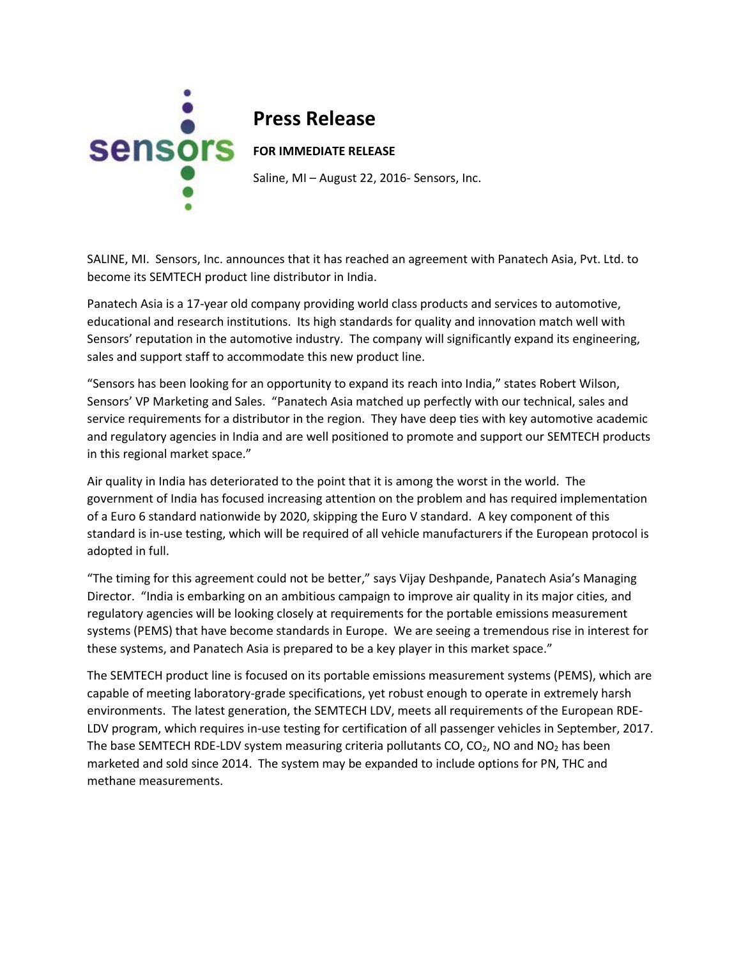

## **Press Release**

Saline, MI – August 22, 2016- Sensors, Inc.

SALINE, MI. Sensors, Inc. announces that it has reached an agreement with Panatech Asia, Pvt. Ltd. to become its SEMTECH product line distributor in India.

Panatech Asia is a 17-year old company providing world class products and services to automotive, educational and research institutions. Its high standards for quality and innovation match well with Sensors' reputation in the automotive industry. The company will significantly expand its engineering, sales and support staff to accommodate this new product line.

"Sensors has been looking for an opportunity to expand its reach into India," states Robert Wilson, Sensors' VP Marketing and Sales. "Panatech Asia matched up perfectly with our technical, sales and service requirements for a distributor in the region. They have deep ties with key automotive academic and regulatory agencies in India and are well positioned to promote and support our SEMTECH products in this regional market space."

Air quality in India has deteriorated to the point that it is among the worst in the world. The government of India has focused increasing attention on the problem and has required implementation of a Euro 6 standard nationwide by 2020, skipping the Euro V standard. A key component of this standard is in-use testing, which will be required of all vehicle manufacturers if the European protocol is adopted in full.

"The timing for this agreement could not be better," says Vijay Deshpande, Panatech Asia's Managing Director. "India is embarking on an ambitious campaign to improve air quality in its major cities, and regulatory agencies will be looking closely at requirements for the portable emissions measurement systems (PEMS) that have become standards in Europe. We are seeing a tremendous rise in interest for these systems, and Panatech Asia is prepared to be a key player in this market space."

The SEMTECH product line is focused on its portable emissions measurement systems (PEMS), which are capable of meeting laboratory-grade specifications, yet robust enough to operate in extremely harsh environments. The latest generation, the SEMTECH LDV, meets all requirements of the European RDE-LDV program, which requires in-use testing for certification of all passenger vehicles in September, 2017. The base SEMTECH RDE-LDV system measuring criteria pollutants CO,  $CO<sub>2</sub>$ , NO and NO<sub>2</sub> has been marketed and sold since 2014. The system may be expanded to include options for PN, THC and methane measurements.